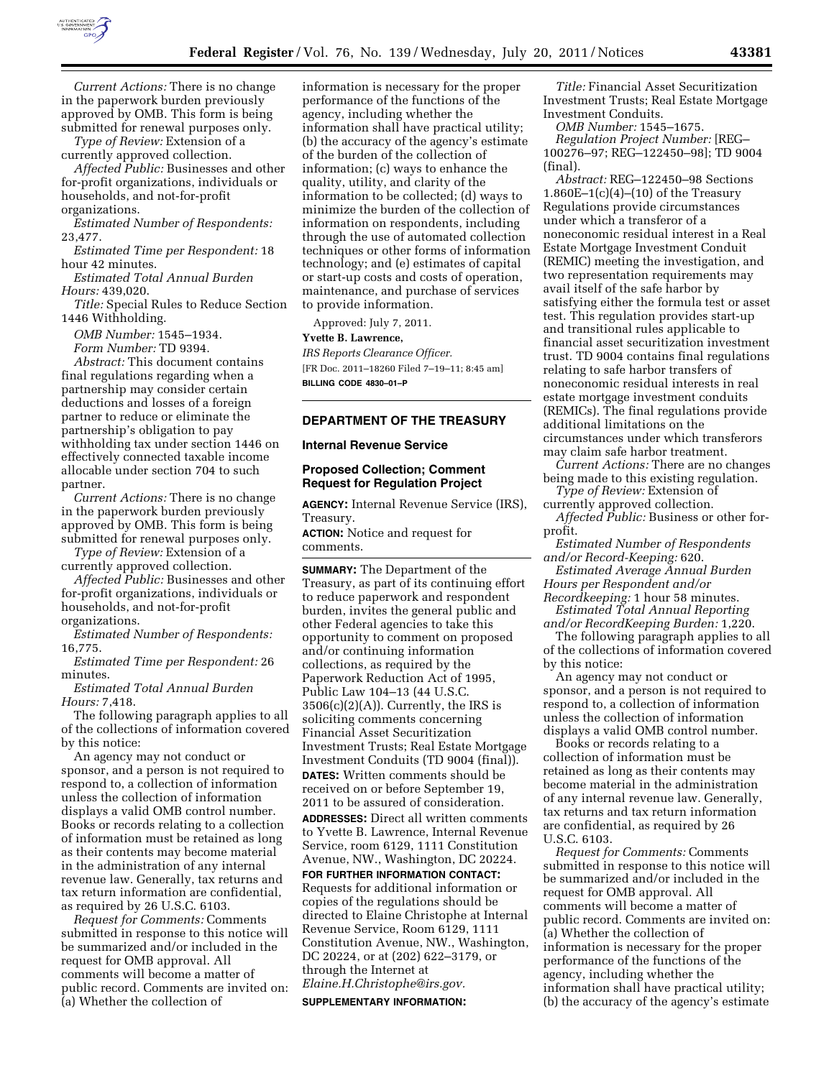

*Current Actions:* There is no change in the paperwork burden previously approved by OMB. This form is being submitted for renewal purposes only.

*Type of Review:* Extension of a currently approved collection.

*Affected Public:* Businesses and other for-profit organizations, individuals or households, and not-for-profit organizations.

*Estimated Number of Respondents:*  23,477.

*Estimated Time per Respondent:* 18 hour 42 minutes.

*Estimated Total Annual Burden Hours:* 439,020.

*Title:* Special Rules to Reduce Section 1446 Withholding.

*OMB Number:* 1545–1934. *Form Number:* TD 9394.

*Abstract:* This document contains final regulations regarding when a partnership may consider certain deductions and losses of a foreign partner to reduce or eliminate the partnership's obligation to pay withholding tax under section 1446 on effectively connected taxable income allocable under section 704 to such partner.

*Current Actions:* There is no change in the paperwork burden previously approved by OMB. This form is being submitted for renewal purposes only.

*Type of Review:* Extension of a currently approved collection.

*Affected Public:* Businesses and other for-profit organizations, individuals or households, and not-for-profit organizations.

*Estimated Number of Respondents:*  16,775.

*Estimated Time per Respondent:* 26 minutes.

*Estimated Total Annual Burden Hours:* 7,418.

The following paragraph applies to all of the collections of information covered by this notice:

An agency may not conduct or sponsor, and a person is not required to respond to, a collection of information unless the collection of information displays a valid OMB control number. Books or records relating to a collection of information must be retained as long as their contents may become material in the administration of any internal revenue law. Generally, tax returns and tax return information are confidential, as required by 26 U.S.C. 6103.

*Request for Comments:* Comments submitted in response to this notice will be summarized and/or included in the request for OMB approval. All comments will become a matter of public record. Comments are invited on: (a) Whether the collection of

information is necessary for the proper performance of the functions of the agency, including whether the information shall have practical utility; (b) the accuracy of the agency's estimate of the burden of the collection of information; (c) ways to enhance the quality, utility, and clarity of the information to be collected; (d) ways to minimize the burden of the collection of information on respondents, including through the use of automated collection techniques or other forms of information technology; and (e) estimates of capital or start-up costs and costs of operation, maintenance, and purchase of services to provide information.

Approved: July 7, 2011.

## **Yvette B. Lawrence,**

*IRS Reports Clearance Officer.*  [FR Doc. 2011–18260 Filed 7–19–11; 8:45 am] **BILLING CODE 4830–01–P** 

## **DEPARTMENT OF THE TREASURY**

#### **Internal Revenue Service**

## **Proposed Collection; Comment Request for Regulation Project**

**AGENCY:** Internal Revenue Service (IRS), Treasury.

**ACTION:** Notice and request for comments.

**SUMMARY:** The Department of the Treasury, as part of its continuing effort to reduce paperwork and respondent burden, invites the general public and other Federal agencies to take this opportunity to comment on proposed and/or continuing information collections, as required by the Paperwork Reduction Act of 1995, Public Law 104–13 (44 U.S.C.  $3506(c)(2)(A)$ . Currently, the IRS is soliciting comments concerning Financial Asset Securitization Investment Trusts; Real Estate Mortgage Investment Conduits (TD 9004 (final)). **DATES:** Written comments should be received on or before September 19, 2011 to be assured of consideration.

**ADDRESSES:** Direct all written comments to Yvette B. Lawrence, Internal Revenue Service, room 6129, 1111 Constitution Avenue, NW., Washington, DC 20224.

**FOR FURTHER INFORMATION CONTACT:**  Requests for additional information or copies of the regulations should be directed to Elaine Christophe at Internal Revenue Service, Room 6129, 1111 Constitution Avenue, NW., Washington, DC 20224, or at (202) 622–3179, or through the Internet at *[Elaine.H.Christophe@irs.gov.](mailto:Elaine.H.Christophe@irs.gov)* 

#### **SUPPLEMENTARY INFORMATION:**

*Title:* Financial Asset Securitization Investment Trusts; Real Estate Mortgage Investment Conduits.

*OMB Number:* 1545–1675.

*Regulation Project Number:* [REG– 100276–97; REG–122450–98]; TD 9004 (final).

*Abstract:* REG–122450–98 Sections 1.860E $-1(c)(4)-(10)$  of the Treasury Regulations provide circumstances under which a transferor of a noneconomic residual interest in a Real Estate Mortgage Investment Conduit (REMIC) meeting the investigation, and two representation requirements may avail itself of the safe harbor by satisfying either the formula test or asset test. This regulation provides start-up and transitional rules applicable to financial asset securitization investment trust. TD 9004 contains final regulations relating to safe harbor transfers of noneconomic residual interests in real estate mortgage investment conduits (REMICs). The final regulations provide additional limitations on the circumstances under which transferors may claim safe harbor treatment.

*Current Actions:* There are no changes being made to this existing regulation.

*Type of Review:* Extension of currently approved collection.

*Affected Public:* Business or other forprofit.

*Estimated Number of Respondents and/or Record-Keeping:* 620.

*Estimated Average Annual Burden Hours per Respondent and/or* 

*Recordkeeping:* 1 hour 58 minutes. *Estimated Total Annual Reporting* 

*and/or RecordKeeping Burden:* 1,220. The following paragraph applies to all

of the collections of information covered by this notice:

An agency may not conduct or sponsor, and a person is not required to respond to, a collection of information unless the collection of information displays a valid OMB control number.

Books or records relating to a collection of information must be retained as long as their contents may become material in the administration of any internal revenue law. Generally, tax returns and tax return information are confidential, as required by 26 U.S.C. 6103.

*Request for Comments:* Comments submitted in response to this notice will be summarized and/or included in the request for OMB approval. All comments will become a matter of public record. Comments are invited on: (a) Whether the collection of information is necessary for the proper performance of the functions of the agency, including whether the information shall have practical utility; (b) the accuracy of the agency's estimate